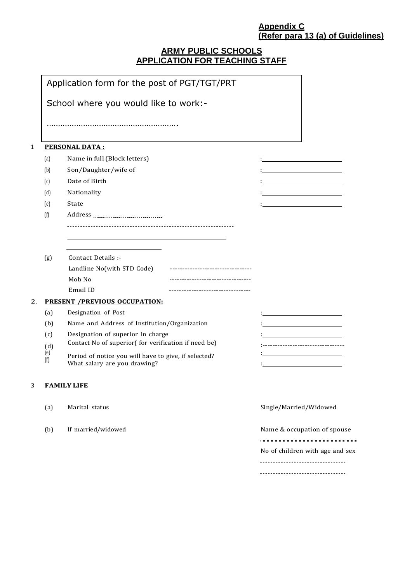# **Appendix C (Refer para 13 (a) of Guidelines)**

# **ARMY PUBLIC SCHOOLS APPLICATION FOR TEACHING STAFF**

|              |                                       | Application form for the post of PGT/TGT/PRT                                         |                          |                                 |  |  |  |  |  |  |
|--------------|---------------------------------------|--------------------------------------------------------------------------------------|--------------------------|---------------------------------|--|--|--|--|--|--|
|              | School where you would like to work:- |                                                                                      |                          |                                 |  |  |  |  |  |  |
|              |                                       |                                                                                      |                          |                                 |  |  |  |  |  |  |
| $\mathbf{1}$ |                                       | <u>PERSONAL DATA:</u>                                                                |                          |                                 |  |  |  |  |  |  |
|              | (a)                                   | Name in full (Block letters)                                                         |                          |                                 |  |  |  |  |  |  |
|              | (b)                                   | Son/Daughter/wife of                                                                 |                          |                                 |  |  |  |  |  |  |
|              | (c)                                   | Date of Birth                                                                        |                          |                                 |  |  |  |  |  |  |
|              | (d)                                   | Nationality                                                                          |                          |                                 |  |  |  |  |  |  |
|              | (e)                                   | State                                                                                |                          |                                 |  |  |  |  |  |  |
|              | (f)                                   |                                                                                      |                          |                                 |  |  |  |  |  |  |
|              |                                       |                                                                                      |                          |                                 |  |  |  |  |  |  |
|              | (g)                                   | Contact Details :-                                                                   |                          |                                 |  |  |  |  |  |  |
|              |                                       | Landline No(with STD Code)                                                           |                          |                                 |  |  |  |  |  |  |
|              |                                       | Mob No                                                                               |                          |                                 |  |  |  |  |  |  |
|              |                                       | Email ID                                                                             |                          |                                 |  |  |  |  |  |  |
| 2.           |                                       | <b>PRESENT /PREVIOUS OCCUPATION:</b>                                                 |                          |                                 |  |  |  |  |  |  |
|              | (a)                                   | Designation of Post                                                                  |                          |                                 |  |  |  |  |  |  |
|              | (b)                                   | Name and Address of Institution/Organization                                         |                          |                                 |  |  |  |  |  |  |
|              | (c)                                   | Designation of superior In charge                                                    |                          |                                 |  |  |  |  |  |  |
|              | (d)                                   | Contact No of superior( for verification if need be)                                 | ------------------------ |                                 |  |  |  |  |  |  |
|              | (e)<br>(f)                            | Period of notice you will have to give, if selected?<br>What salary are you drawing? |                          |                                 |  |  |  |  |  |  |
| 3            |                                       | <b>FAMILY LIFE</b>                                                                   |                          |                                 |  |  |  |  |  |  |
|              | (a)                                   | Marital status                                                                       | Single/Married/Widowed   |                                 |  |  |  |  |  |  |
|              | (b)                                   | If married/widowed                                                                   |                          | Name & occupation of spouse     |  |  |  |  |  |  |
|              |                                       |                                                                                      |                          | No of children with age and sex |  |  |  |  |  |  |
|              |                                       |                                                                                      |                          | ------------------------------  |  |  |  |  |  |  |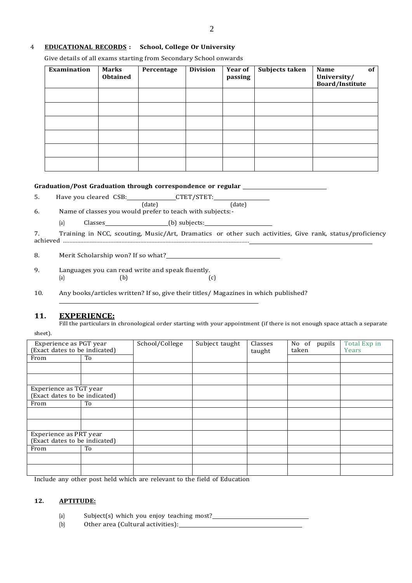## 4 **EDUCATIONAL RECORDS : School, College Or University**

Give details of all exams starting from Secondary School onwards

| Examination | Marks<br><b>Obtained</b> | Percentage | <b>Division</b> | <b>Year of</b><br>passing | Subjects taken | of<br>Name<br>University/<br><b>Board/Institute</b> |
|-------------|--------------------------|------------|-----------------|---------------------------|----------------|-----------------------------------------------------|
|             |                          |            |                 |                           |                |                                                     |
|             |                          |            |                 |                           |                |                                                     |
|             |                          |            |                 |                           |                |                                                     |
|             |                          |            |                 |                           |                |                                                     |
|             |                          |            |                 |                           |                |                                                     |
|             |                          |            |                 |                           |                |                                                     |

#### **Graduation/Post Graduation through correspondence or regular**

5. Have you cleared CSB: CTET/STET:

(date) (date) 6. Name of classes you would prefer to teach with subjects:-

(a) Classes (b) subjects:

7. Training in NCC, scouting, Music/Art, Dramatics or other such activities, Give rank, status/proficiency achieved ......................................................................................................................

8. Merit Scholarship won? If so what?

9. Languages you can read write and speak fluently.<br>(a) (b) (a)  $(b)$   $(c)$ 

10. Any books/articles written? If so, give their titles/ Magazines in which published?

### **11. EXPERIENCE:**

Fill the particulars in chronological order starting with your appointment (if there is not enough space attach a separate sheet).

| Experience as PGT year<br>(Exact dates to be indicated) |    | School/College | Subject taught | Classes<br>taught | No of<br>pupils<br>taken | Total Exp in<br>Years |
|---------------------------------------------------------|----|----------------|----------------|-------------------|--------------------------|-----------------------|
| From                                                    | To |                |                |                   |                          |                       |
|                                                         |    |                |                |                   |                          |                       |
|                                                         |    |                |                |                   |                          |                       |
| Experience as TGT year<br>(Exact dates to be indicated) |    |                |                |                   |                          |                       |
| From                                                    | To |                |                |                   |                          |                       |
|                                                         |    |                |                |                   |                          |                       |
|                                                         |    |                |                |                   |                          |                       |
| Experience as PRT year<br>(Exact dates to be indicated) |    |                |                |                   |                          |                       |
| From                                                    | To |                |                |                   |                          |                       |
|                                                         |    |                |                |                   |                          |                       |
|                                                         |    |                |                |                   |                          |                       |

Include any other post held which are relevant to the field of Education

#### **12. APTITUDE:**

(a) Subject(s) which you enjoy teaching most?

(b) Other area (Cultural activities):